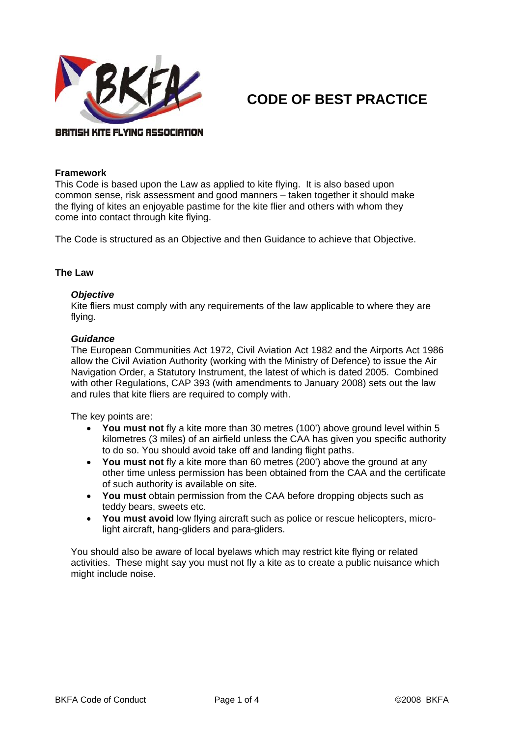

# **CODE OF BEST PRACTICE**

## BRITISH KITE FLYING ASSOCIATION

#### **Framework**

This Code is based upon the Law as applied to kite flying. It is also based upon common sense, risk assessment and good manners – taken together it should make the flying of kites an enjoyable pastime for the kite flier and others with whom they come into contact through kite flying.

The Code is structured as an Objective and then Guidance to achieve that Objective.

# **The Law**

# *Objective*

Kite fliers must comply with any requirements of the law applicable to where they are flying.

## *Guidance*

The European Communities Act 1972, Civil Aviation Act 1982 and the Airports Act 1986 allow the Civil Aviation Authority (working with the Ministry of Defence) to issue the Air Navigation Order, a Statutory Instrument, the latest of which is dated 2005. Combined with other Regulations, CAP 393 (with amendments to January 2008) sets out the law and rules that kite fliers are required to comply with.

The key points are:

- **You must not** fly a kite more than 30 metres (100') above ground level within 5 kilometres (3 miles) of an airfield unless the CAA has given you specific authority to do so. You should avoid take off and landing flight paths.
- **You must not** fly a kite more than 60 metres (200') above the ground at any other time unless permission has been obtained from the CAA and the certificate of such authority is available on site.
- **You must** obtain permission from the CAA before dropping objects such as teddy bears, sweets etc.
- **You must avoid** low flying aircraft such as police or rescue helicopters, microlight aircraft, hang-gliders and para-gliders.

You should also be aware of local byelaws which may restrict kite flying or related activities. These might say you must not fly a kite as to create a public nuisance which might include noise.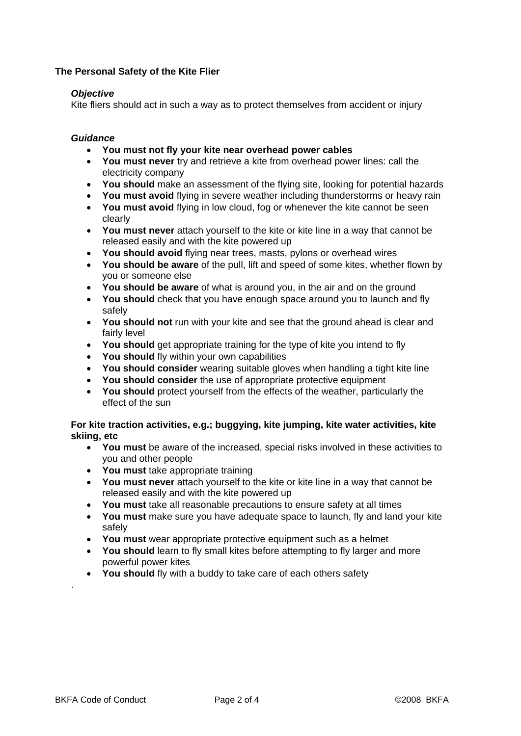# **The Personal Safety of the Kite Flier**

# *Objective*

Kite fliers should act in such a way as to protect themselves from accident or injury

# *Guidance*

- **You must not fly your kite near overhead power cables**
- **You must never** try and retrieve a kite from overhead power lines: call the electricity company
- **You should** make an assessment of the flying site, looking for potential hazards
- **You must avoid** flying in severe weather including thunderstorms or heavy rain
- **You must avoid** flying in low cloud, fog or whenever the kite cannot be seen clearly
- **You must never** attach yourself to the kite or kite line in a way that cannot be released easily and with the kite powered up
- **You should avoid** flying near trees, masts, pylons or overhead wires
- **You should be aware** of the pull, lift and speed of some kites, whether flown by you or someone else
- **You should be aware** of what is around you, in the air and on the ground
- **You should** check that you have enough space around you to launch and fly safely
- **You should not** run with your kite and see that the ground ahead is clear and fairly level
- **You should** get appropriate training for the type of kite you intend to fly
- **You should** fly within your own capabilities
- **You should consider** wearing suitable gloves when handling a tight kite line
- **You should consider** the use of appropriate protective equipment
- **You should** protect yourself from the effects of the weather, particularly the effect of the sun

# **For kite traction activities, e.g.; buggying, kite jumping, kite water activities, kite skiing, etc**

- **You must** be aware of the increased, special risks involved in these activities to you and other people
- **You must** take appropriate training
- **You must never** attach yourself to the kite or kite line in a way that cannot be released easily and with the kite powered up
- **You must** take all reasonable precautions to ensure safety at all times
- **You must** make sure you have adequate space to launch, fly and land your kite safely
- **You must** wear appropriate protective equipment such as a helmet
- **You should** learn to fly small kites before attempting to fly larger and more powerful power kites
- **You should** fly with a buddy to take care of each others safety

.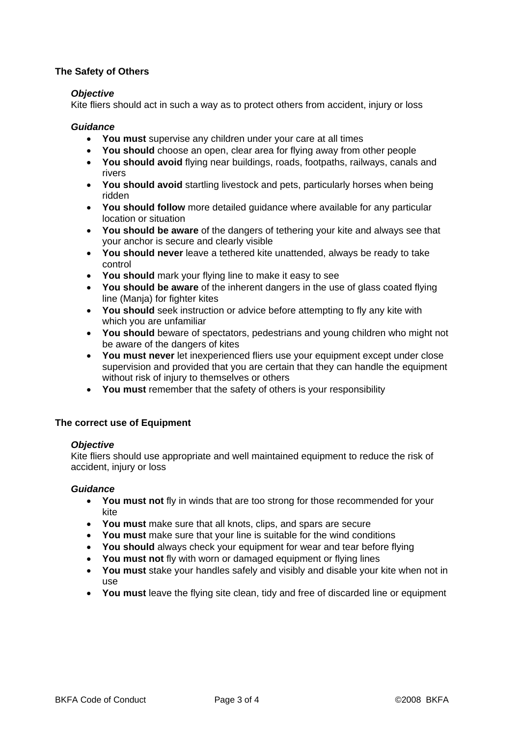# **The Safety of Others**

# *Objective*

Kite fliers should act in such a way as to protect others from accident, injury or loss

# *Guidance*

- **You must** supervise any children under your care at all times
- **You should** choose an open, clear area for flying away from other people
- **You should avoid** flying near buildings, roads, footpaths, railways, canals and rivers
- **You should avoid** startling livestock and pets, particularly horses when being ridden
- You should follow more detailed guidance where available for any particular location or situation
- **You should be aware** of the dangers of tethering your kite and always see that your anchor is secure and clearly visible
- **You should never** leave a tethered kite unattended, always be ready to take control
- **You should** mark your flying line to make it easy to see
- **You should be aware** of the inherent dangers in the use of glass coated flying line (Manja) for fighter kites
- **You should** seek instruction or advice before attempting to fly any kite with which you are unfamiliar
- **You should** beware of spectators, pedestrians and young children who might not be aware of the dangers of kites
- **You must never** let inexperienced fliers use your equipment except under close supervision and provided that you are certain that they can handle the equipment without risk of injury to themselves or others
- **You must** remember that the safety of others is your responsibility

# **The correct use of Equipment**

## *Objective*

Kite fliers should use appropriate and well maintained equipment to reduce the risk of accident, injury or loss

## *Guidance*

- **You must not** fly in winds that are too strong for those recommended for your kite
- **You must** make sure that all knots, clips, and spars are secure
- **You must** make sure that your line is suitable for the wind conditions
- **You should** always check your equipment for wear and tear before flying
- **You must not** fly with worn or damaged equipment or flying lines
- **You must** stake your handles safely and visibly and disable your kite when not in use
- **You must** leave the flying site clean, tidy and free of discarded line or equipment